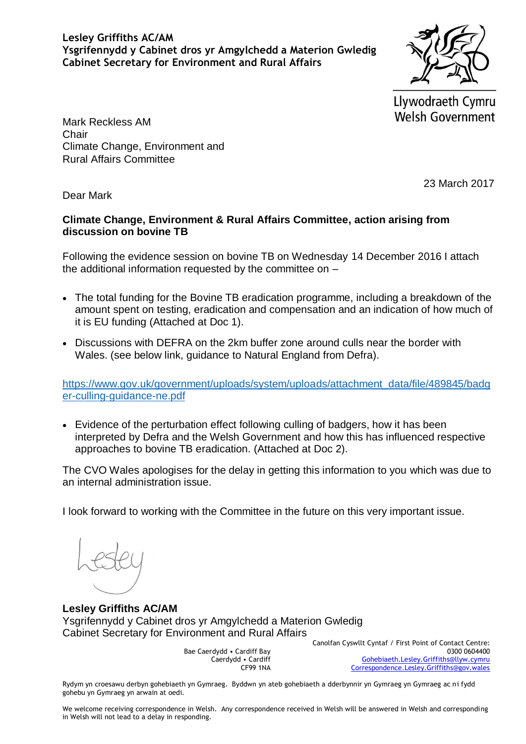**Lesley Griffiths AC/AM Ysgrifennydd y Cabinet dros yr Amgylchedd a Materion Gwledig Cabinet Secretary for Environment and Rural Affairs**

Llywodraeth Cymru **Welsh Government** 

Mark Reckless AM **Chair** Climate Change, Environment and Rural Affairs Committee

23 March 2017

Dear Mark

#### **Climate Change, Environment & Rural Affairs Committee, action arising from discussion on bovine TB**

Following the evidence session on bovine TB on Wednesday 14 December 2016 I attach the additional information requested by the committee on –

- The total funding for the Bovine TB eradication programme, including a breakdown of the amount spent on testing, eradication and compensation and an indication of how much of it is EU funding (Attached at Doc 1).
- Discussions with DEFRA on the 2km buffer zone around culls near the border with Wales. (see below link, guidance to Natural England from Defra).

[https://www.gov.uk/government/uploads/system/uploads/attachment\\_data/file/489845/badg](https://www.gov.uk/government/uploads/system/uploads/attachment_data/file/489845/badger-culling-guidance-ne.pdf) [er-culling-guidance-ne.pdf](https://www.gov.uk/government/uploads/system/uploads/attachment_data/file/489845/badger-culling-guidance-ne.pdf)

 Evidence of the perturbation effect following culling of badgers, how it has been interpreted by Defra and the Welsh Government and how this has influenced respective approaches to bovine TB eradication. (Attached at Doc 2).

The CVO Wales apologises for the delay in getting this information to you which was due to an internal administration issue.

I look forward to working with the Committee in the future on this very important issue.

**Lesley Griffiths AC/AM** Ysgrifennydd y Cabinet dros yr Amgylchedd a Materion Gwledig Cabinet Secretary for Environment and Rural Affairs

> Bae Caerdydd • Cardiff Bay Caerdydd • Cardiff CF99 1NA

Canolfan Cyswllt Cyntaf / First Point of Contact Centre: 0300 0604400 [Gohebiaeth.Lesley.Griffiths@llyw.cymru](mailto:Gohebiaeth.Lesley.Griffiths@llyw.cymru) [Correspondence.Lesley.Griffiths@gov.wales](mailto:Correspondence.Lesley.Griffiths@gov.wales)

Rydym yn croesawu derbyn gohebiaeth yn Gymraeg. Byddwn yn ateb gohebiaeth a dderbynnir yn Gymraeg yn Gymraeg ac ni fydd gohebu yn Gymraeg yn arwain at oedi.

We welcome receiving correspondence in Welsh. Any correspondence received in Welsh will be answered in Welsh and corresponding in Welsh will not lead to a delay in responding.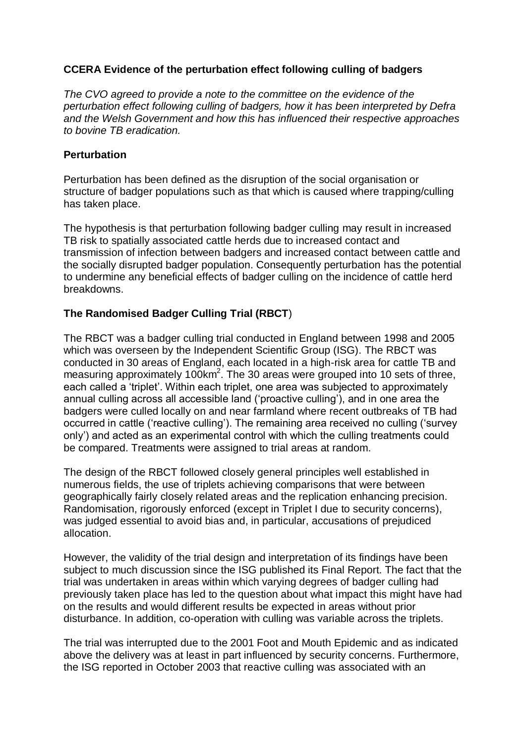### **CCERA Evidence of the perturbation effect following culling of badgers**

*The CVO agreed to provide a note to the committee on the evidence of the perturbation effect following culling of badgers, how it has been interpreted by Defra and the Welsh Government and how this has influenced their respective approaches to bovine TB eradication.*

#### **Perturbation**

Perturbation has been defined as the disruption of the social organisation or structure of badger populations such as that which is caused where trapping/culling has taken place.

The hypothesis is that perturbation following badger culling may result in increased TB risk to spatially associated cattle herds due to increased contact and transmission of infection between badgers and increased contact between cattle and the socially disrupted badger population. Consequently perturbation has the potential to undermine any beneficial effects of badger culling on the incidence of cattle herd breakdowns.

# **The Randomised Badger Culling Trial (RBCT**)

The RBCT was a badger culling trial conducted in England between 1998 and 2005 which was overseen by the Independent Scientific Group (ISG). The RBCT was conducted in 30 areas of England, each located in a high-risk area for cattle TB and measuring approximately  $100 \text{km}^2$ . The 30 areas were grouped into 10 sets of three, each called a 'triplet'. Within each triplet, one area was subjected to approximately annual culling across all accessible land ('proactive culling'), and in one area the badgers were culled locally on and near farmland where recent outbreaks of TB had occurred in cattle ('reactive culling'). The remaining area received no culling ('survey only') and acted as an experimental control with which the culling treatments could be compared. Treatments were assigned to trial areas at random.

The design of the RBCT followed closely general principles well established in numerous fields, the use of triplets achieving comparisons that were between geographically fairly closely related areas and the replication enhancing precision. Randomisation, rigorously enforced (except in Triplet I due to security concerns), was judged essential to avoid bias and, in particular, accusations of prejudiced allocation.

However, the validity of the trial design and interpretation of its findings have been subject to much discussion since the ISG published its Final Report. The fact that the trial was undertaken in areas within which varying degrees of badger culling had previously taken place has led to the question about what impact this might have had on the results and would different results be expected in areas without prior disturbance. In addition, co-operation with culling was variable across the triplets.

The trial was interrupted due to the 2001 Foot and Mouth Epidemic and as indicated above the delivery was at least in part influenced by security concerns. Furthermore, the ISG reported in October 2003 that reactive culling was associated with an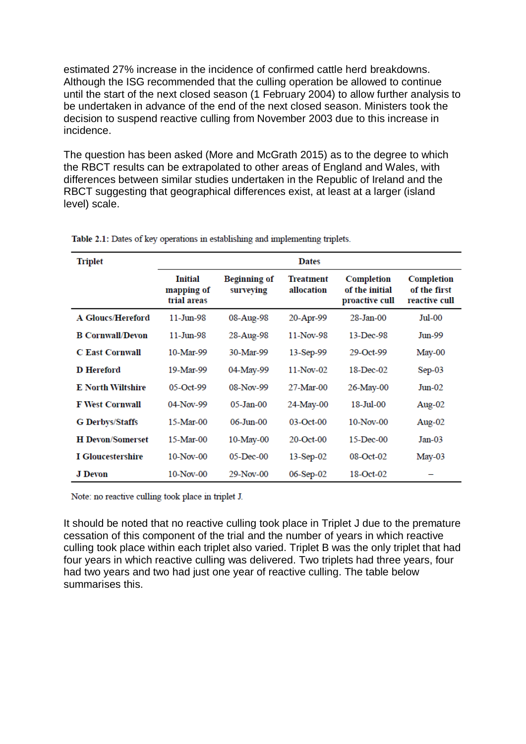estimated 27% increase in the incidence of confirmed cattle herd breakdowns. Although the ISG recommended that the culling operation be allowed to continue until the start of the next closed season (1 February 2004) to allow further analysis to be undertaken in advance of the end of the next closed season. Ministers took the decision to suspend reactive culling from November 2003 due to this increase in incidence.

The question has been asked (More and McGrath 2015) as to the degree to which the RBCT results can be extrapolated to other areas of England and Wales, with differences between similar studies undertaken in the Republic of Ireland and the RBCT suggesting that geographical differences exist, at least at a larger (island level) scale.

| <b>Triplet</b>           | <b>Dates</b>                                |                                  |                                |                                                |                                             |  |
|--------------------------|---------------------------------------------|----------------------------------|--------------------------------|------------------------------------------------|---------------------------------------------|--|
|                          | <b>Initial</b><br>mapping of<br>trial areas | <b>Beginning of</b><br>surveying | <b>Treatment</b><br>allocation | Completion<br>of the initial<br>proactive cull | Completion<br>of the first<br>reactive cull |  |
| <b>A Gloucs/Hereford</b> | $11-Jun-98$                                 | 08-Aug-98                        | 20-Apr-99                      | $28 - Jan-00$                                  | Jul-00                                      |  |
| <b>B Cornwall/Devon</b>  | $11-Jun-98$                                 | 28-Aug-98                        | 11-Nov-98                      | 13-Dec-98                                      | Jun-99                                      |  |
| <b>C</b> East Cornwall   | 10-Mar-99                                   | 30-Mar-99                        | 13-Sep-99                      | 29-Oct-99                                      | May-00                                      |  |
| <b>D</b> Hereford        | 19-Mar-99                                   | 04-May-99                        | $11-Nov-02$                    | 18-Dec-02                                      | $Sep-03$                                    |  |
| <b>E</b> North Wiltshire | $05-Oct-99$                                 | 08-Nov-99                        | 27-Mar-00                      | 26-May-00                                      | $Jun-02$                                    |  |
| <b>F West Cornwall</b>   | 04-Nov-99                                   | $05$ -Jan- $00$                  | 24-May-00                      | 18-Jul-00                                      | Aug-02                                      |  |
| <b>G</b> Derbys/Staffs   | 15-Mar-00                                   | $06 - Jun - 00$                  | $03-Oct-00$                    | $10-Nov-00$                                    | Aug- $02$                                   |  |
| <b>H</b> Devon/Somerset  | 15-Mar-00                                   | 10-May-00                        | 20-Oct-00                      | 15-Dec-00                                      | $Jan-03$                                    |  |
| <b>I</b> Gloucestershire | $10-Nov-00$                                 | $05$ -Dec- $00$                  | 13-Sep-02                      | 08-Oct-02                                      | $May-03$                                    |  |
| <b>J</b> Devon           | $10-Nov-00$                                 | 29-Nov-00                        | 06-Sep-02                      | 18-Oct-02                                      |                                             |  |

Table 2.1: Dates of key operations in establishing and implementing triplets.

Note: no reactive culling took place in triplet J.

It should be noted that no reactive culling took place in Triplet J due to the premature cessation of this component of the trial and the number of years in which reactive culling took place within each triplet also varied. Triplet B was the only triplet that had four years in which reactive culling was delivered. Two triplets had three years, four had two years and two had just one year of reactive culling. The table below summarises this.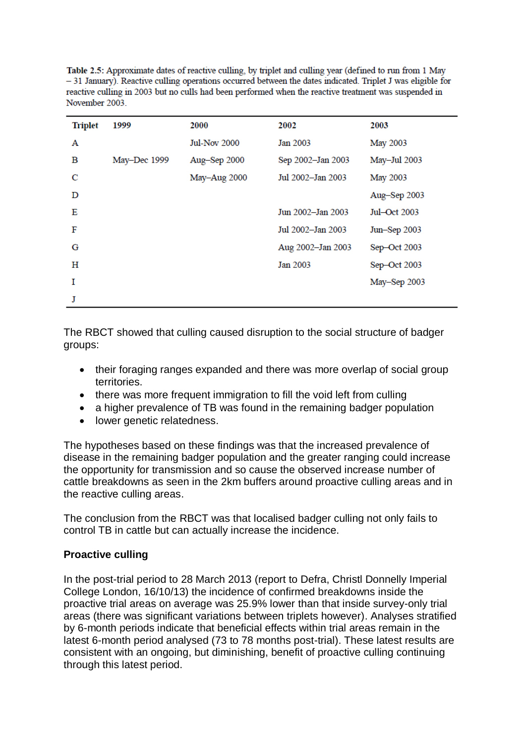Table 2.5: Approximate dates of reactive culling, by triplet and culling year (defined to run from 1 May - 31 January). Reactive culling operations occurred between the dates indicated. Triplet J was eligible for reactive culling in 2003 but no culls had been performed when the reactive treatment was suspended in November 2003.

| <b>Triplet</b> | 1999         | 2000                | 2002              | 2003            |
|----------------|--------------|---------------------|-------------------|-----------------|
| A              |              | <b>Jul-Nov 2000</b> | Jan 2003          | <b>May 2003</b> |
| в              | May-Dec 1999 | Aug-Sep 2000        | Sep 2002-Jan 2003 | May-Jul 2003    |
| C              |              | May-Aug 2000        | Jul 2002-Jan 2003 | <b>May 2003</b> |
| D              |              |                     |                   | Aug-Sep 2003    |
| Е              |              |                     | Jun 2002-Jan 2003 | Jul-Oct 2003    |
| F              |              |                     | Jul 2002-Jan 2003 | Jun-Sep 2003    |
| G              |              |                     | Aug 2002-Jan 2003 | Sep-Oct 2003    |
| н              |              |                     | Jan 2003          | Sep-Oct 2003    |
| Т              |              |                     |                   | May-Sep 2003    |
| J              |              |                     |                   |                 |

The RBCT showed that culling caused disruption to the social structure of badger groups:

- their foraging ranges expanded and there was more overlap of social group territories.
- there was more frequent immigration to fill the void left from culling
- a higher prevalence of TB was found in the remaining badger population
- lower genetic relatedness.

The hypotheses based on these findings was that the increased prevalence of disease in the remaining badger population and the greater ranging could increase the opportunity for transmission and so cause the observed increase number of cattle breakdowns as seen in the 2km buffers around proactive culling areas and in the reactive culling areas.

The conclusion from the RBCT was that localised badger culling not only fails to control TB in cattle but can actually increase the incidence.

# **Proactive culling**

In the post-trial period to 28 March 2013 (report to Defra, Christl Donnelly Imperial College London, 16/10/13) the incidence of confirmed breakdowns inside the proactive trial areas on average was 25.9% lower than that inside survey-only trial areas (there was significant variations between triplets however). Analyses stratified by 6-month periods indicate that beneficial effects within trial areas remain in the latest 6-month period analysed (73 to 78 months post-trial). These latest results are consistent with an ongoing, but diminishing, benefit of proactive culling continuing through this latest period.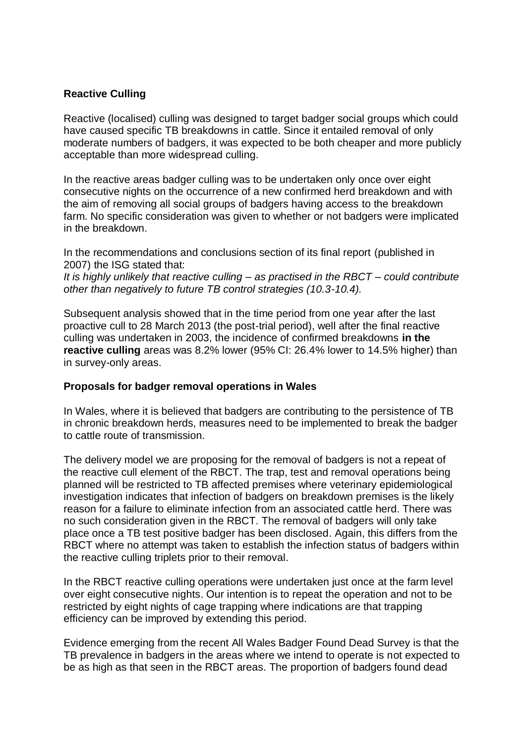### **Reactive Culling**

Reactive (localised) culling was designed to target badger social groups which could have caused specific TB breakdowns in cattle. Since it entailed removal of only moderate numbers of badgers, it was expected to be both cheaper and more publicly acceptable than more widespread culling.

In the reactive areas badger culling was to be undertaken only once over eight consecutive nights on the occurrence of a new confirmed herd breakdown and with the aim of removing all social groups of badgers having access to the breakdown farm. No specific consideration was given to whether or not badgers were implicated in the breakdown.

In the recommendations and conclusions section of its final report (published in 2007) the ISG stated that: *It is highly unlikely that reactive culling – as practised in the RBCT – could contribute other than negatively to future TB control strategies (10.3-10.4).* 

Subsequent analysis showed that in the time period from one year after the last proactive cull to 28 March 2013 (the post-trial period), well after the final reactive culling was undertaken in 2003, the incidence of confirmed breakdowns **in the reactive culling** areas was 8.2% lower (95% CI: 26.4% lower to 14.5% higher) than in survey-only areas.

#### **Proposals for badger removal operations in Wales**

In Wales, where it is believed that badgers are contributing to the persistence of TB in chronic breakdown herds, measures need to be implemented to break the badger to cattle route of transmission.

The delivery model we are proposing for the removal of badgers is not a repeat of the reactive cull element of the RBCT. The trap, test and removal operations being planned will be restricted to TB affected premises where veterinary epidemiological investigation indicates that infection of badgers on breakdown premises is the likely reason for a failure to eliminate infection from an associated cattle herd. There was no such consideration given in the RBCT. The removal of badgers will only take place once a TB test positive badger has been disclosed. Again, this differs from the RBCT where no attempt was taken to establish the infection status of badgers within the reactive culling triplets prior to their removal.

In the RBCT reactive culling operations were undertaken just once at the farm level over eight consecutive nights. Our intention is to repeat the operation and not to be restricted by eight nights of cage trapping where indications are that trapping efficiency can be improved by extending this period.

Evidence emerging from the recent All Wales Badger Found Dead Survey is that the TB prevalence in badgers in the areas where we intend to operate is not expected to be as high as that seen in the RBCT areas. The proportion of badgers found dead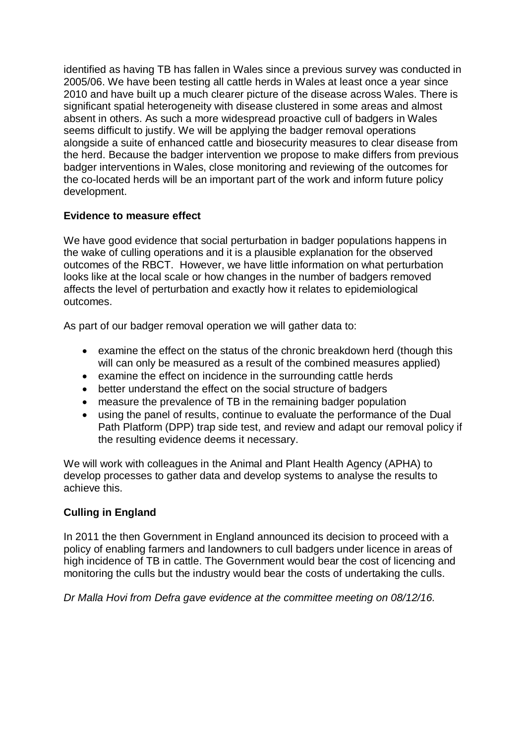identified as having TB has fallen in Wales since a previous survey was conducted in 2005/06. We have been testing all cattle herds in Wales at least once a year since 2010 and have built up a much clearer picture of the disease across Wales. There is significant spatial heterogeneity with disease clustered in some areas and almost absent in others. As such a more widespread proactive cull of badgers in Wales seems difficult to justify. We will be applying the badger removal operations alongside a suite of enhanced cattle and biosecurity measures to clear disease from the herd. Because the badger intervention we propose to make differs from previous badger interventions in Wales, close monitoring and reviewing of the outcomes for the co-located herds will be an important part of the work and inform future policy development.

# **Evidence to measure effect**

We have good evidence that social perturbation in badger populations happens in the wake of culling operations and it is a plausible explanation for the observed outcomes of the RBCT. However, we have little information on what perturbation looks like at the local scale or how changes in the number of badgers removed affects the level of perturbation and exactly how it relates to epidemiological outcomes.

As part of our badger removal operation we will gather data to:

- examine the effect on the status of the chronic breakdown herd (though this will can only be measured as a result of the combined measures applied)
- examine the effect on incidence in the surrounding cattle herds
- better understand the effect on the social structure of badgers
- measure the prevalence of TB in the remaining badger population
- using the panel of results, continue to evaluate the performance of the Dual Path Platform (DPP) trap side test, and review and adapt our removal policy if the resulting evidence deems it necessary.

We will work with colleagues in the Animal and Plant Health Agency (APHA) to develop processes to gather data and develop systems to analyse the results to achieve this.

# **Culling in England**

In 2011 the then Government in England announced its decision to proceed with a policy of enabling farmers and landowners to cull badgers under licence in areas of high incidence of TB in cattle. The Government would bear the cost of licencing and monitoring the culls but the industry would bear the costs of undertaking the culls.

*Dr Malla Hovi from Defra gave evidence at the committee meeting on 08/12/16.*